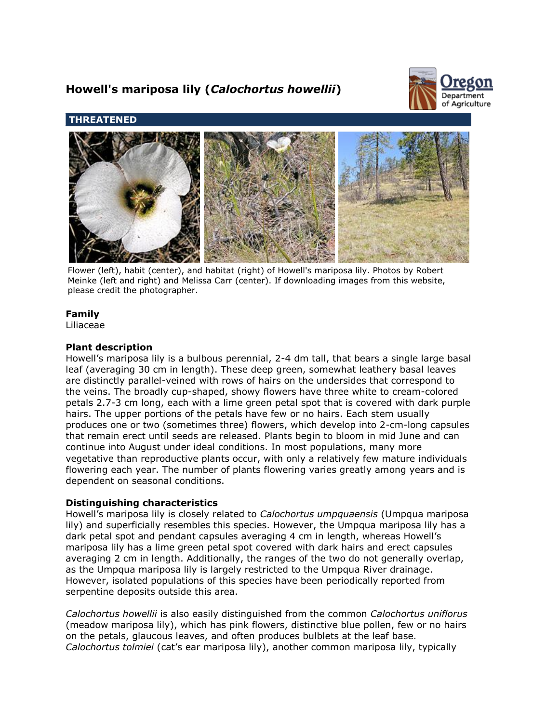# **Howell's mariposa lily (***Calochortus howellii***)**



# **THREATENED**



Flower (left), habit (center), and habitat (right) of Howell's mariposa lily. Photos by Robert Meinke (left and right) and Melissa Carr (center). If downloading images from this website, please credit the photographer.

# **Family**

Liliaceae

# **Plant description**

Howell's mariposa lily is a bulbous perennial, 2-4 dm tall, that bears a single large basal leaf (averaging 30 cm in length). These deep green, somewhat leathery basal leaves are distinctly parallel-veined with rows of hairs on the undersides that correspond to the veins. The broadly cup-shaped, showy flowers have three white to cream-colored petals 2.7-3 cm long, each with a lime green petal spot that is covered with dark purple hairs. The upper portions of the petals have few or no hairs. Each stem usually produces one or two (sometimes three) flowers, which develop into 2-cm-long capsules that remain erect until seeds are released. Plants begin to bloom in mid June and can continue into August under ideal conditions. In most populations, many more vegetative than reproductive plants occur, with only a relatively few mature individuals flowering each year. The number of plants flowering varies greatly among years and is dependent on seasonal conditions.

# **Distinguishing characteristics**

Howell's mariposa lily is closely related to *Calochortus umpquaensis* (Umpqua mariposa lily) and superficially resembles this species. However, the Umpqua mariposa lily has a dark petal spot and pendant capsules averaging 4 cm in length, whereas Howell's mariposa lily has a lime green petal spot covered with dark hairs and erect capsules averaging 2 cm in length. Additionally, the ranges of the two do not generally overlap, as the Umpqua mariposa lily is largely restricted to the Umpqua River drainage. However, isolated populations of this species have been periodically reported from serpentine deposits outside this area.

*Calochortus howellii* is also easily distinguished from the common *Calochortus uniflorus* (meadow mariposa lily), which has pink flowers, distinctive blue pollen, few or no hairs on the petals, glaucous leaves, and often produces bulblets at the leaf base. *Calochortus tolmiei* (cat's ear mariposa lily), another common mariposa lily, typically